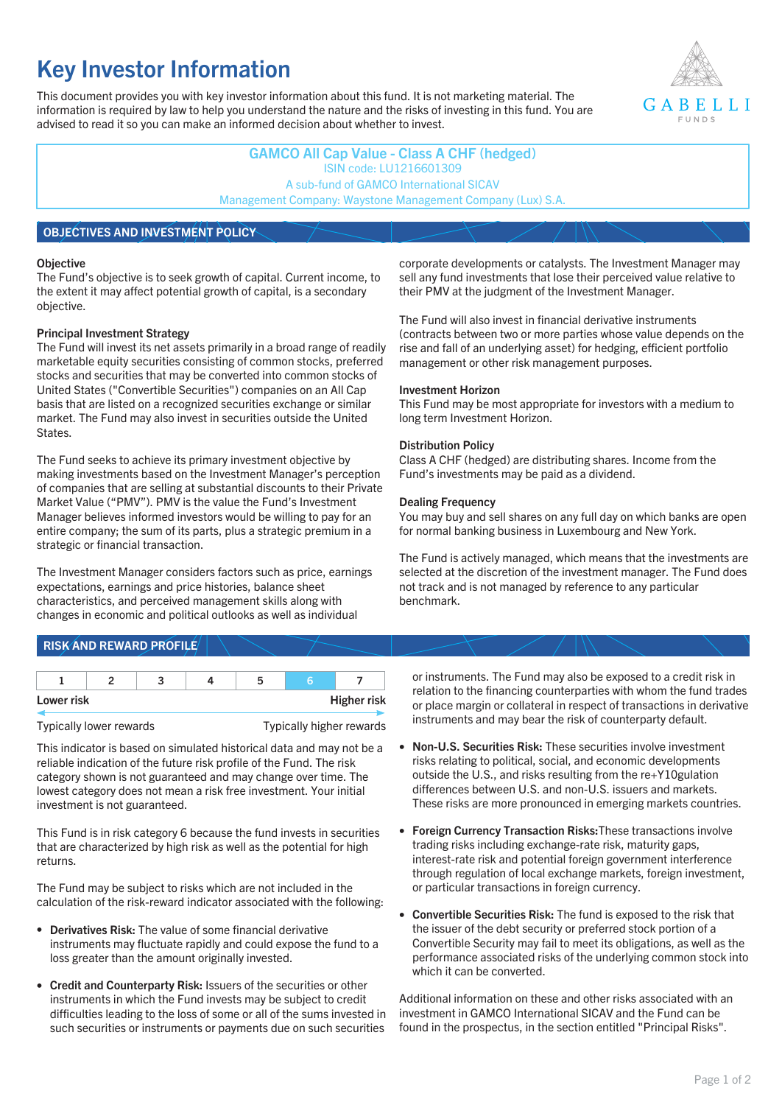# **Key Investor Information**

This document provides you with key investor information about this fund. It is not marketing material. The information is required by law to help you understand the nature and the risks of investing in this fund. You are advised to read it so you can make an informed decision about whether to invest.



**GAMCO All Cap Value - Class A CHF (hedged)** ISIN code: LU1216601309 A sub-fund of GAMCO International SICAV Management Company: Waystone Management Company (Lux) S.A.

## **OBJECTIVES AND INVESTMENT POLICY**

#### **Objective**

The Fund's objective is to seek growth of capital. Current income, to the extent it may affect potential growth of capital, is a secondary objective.

#### **Principal Investment Strategy**

The Fund will invest its net assets primarily in a broad range of readily marketable equity securities consisting of common stocks, preferred stocks and securities that may be converted into common stocks of United States ("Convertible Securities") companies on an All Cap basis that are listed on a recognized securities exchange or similar market. The Fund may also invest in securities outside the United States.

The Fund seeks to achieve its primary investment objective by making investments based on the Investment Manager's perception of companies that are selling at substantial discounts to their Private Market Value ("PMV"). PMV is the value the Fund's Investment Manager believes informed investors would be willing to pay for an entire company; the sum of its parts, plus a strategic premium in a strategic or financial transaction.

The Investment Manager considers factors such as price, earnings expectations, earnings and price histories, balance sheet characteristics, and perceived management skills along with changes in economic and political outlooks as well as individual

corporate developments or catalysts. The Investment Manager may sell any fund investments that lose their perceived value relative to their PMV at the judgment of the Investment Manager.

The Fund will also invest in financial derivative instruments (contracts between two or more parties whose value depends on the rise and fall of an underlying asset) for hedging, efficient portfolio management or other risk management purposes.

#### **Investment Horizon**

This Fund may be most appropriate for investors with a medium to long term Investment Horizon.

#### **Distribution Policy**

Class A CHF (hedged) are distributing shares. Income from the Fund's investments may be paid as a dividend.

#### **Dealing Frequency**

You may buy and sell shares on any full day on which banks are open for normal banking business in Luxembourg and New York.

The Fund is actively managed, which means that the investments are selected at the discretion of the investment manager. The Fund does not track and is not managed by reference to any particular benchmark.

## **RISK AND REWARD PROFILE**

| Lower risk |  |  | <b>Higher risk</b> |
|------------|--|--|--------------------|

#### Typically lower rewards Typically higher rewards

This indicator is based on simulated historical data and may not be a reliable indication of the future risk profile of the Fund. The risk category shown is not guaranteed and may change over time. The lowest category does not mean a risk free investment. Your initial investment is not guaranteed.

This Fund is in risk category 6 because the fund invests in securities that are characterized by high risk as well as the potential for high returns.

The Fund may be subject to risks which are not included in the calculation of the risk-reward indicator associated with the following:

- **Derivatives Risk:** The value of some financial derivative instruments may fluctuate rapidly and could expose the fund to a loss greater than the amount originally invested.
- **Credit and Counterparty Risk:** Issuers of the securities or other instruments in which the Fund invests may be subject to credit difficulties leading to the loss of some or all of the sums invested in such securities or instruments or payments due on such securities

or instruments. The Fund may also be exposed to a credit risk in relation to the financing counterparties with whom the fund trades or place margin or collateral in respect of transactions in derivative instruments and may bear the risk of counterparty default.

- **Non-U.S. Securities Risk:** These securities involve investment risks relating to political, social, and economic developments outside the U.S., and risks resulting from the re+Y10gulation differences between U.S. and non-U.S. issuers and markets. These risks are more pronounced in emerging markets countries.
- **Foreign Currency Transaction Risks:**These transactions involve trading risks including exchange-rate risk, maturity gaps, interest-rate risk and potential foreign government interference through regulation of local exchange markets, foreign investment, or particular transactions in foreign currency.
- **Convertible Securities Risk:** The fund is exposed to the risk that the issuer of the debt security or preferred stock portion of a Convertible Security may fail to meet its obligations, as well as the performance associated risks of the underlying common stock into which it can be converted.

Additional information on these and other risks associated with an investment in GAMCO International SICAV and the Fund can be found in the prospectus, in the section entitled "Principal Risks".